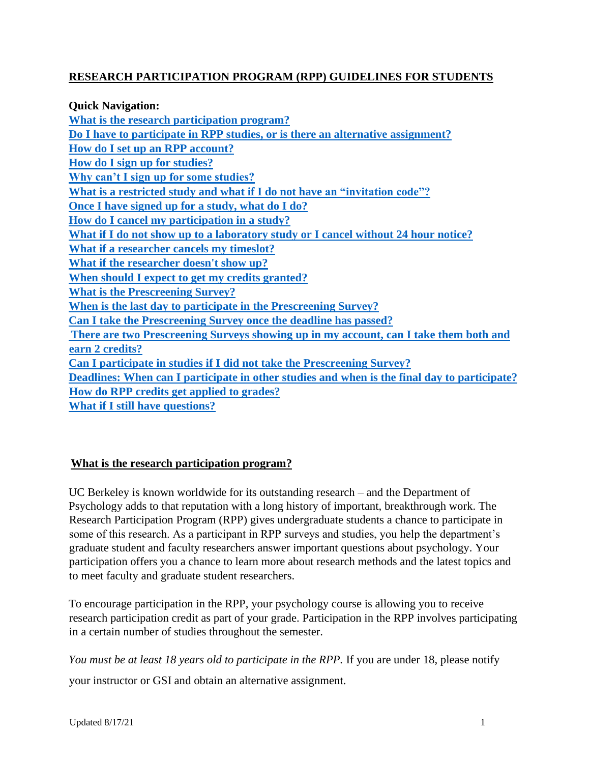## **RESEARCH PARTICIPATION PROGRAM (RPP) GUIDELINES FOR STUDENTS**

| <b>Quick Navigation:</b>                                                                     |
|----------------------------------------------------------------------------------------------|
| What is the research participation program?                                                  |
| Do I have to participate in RPP studies, or is there an alternative assignment?              |
| How do I set up an RPP account?                                                              |
| How do I sign up for studies?                                                                |
| Why can't I sign up for some studies?                                                        |
| What is a restricted study and what if I do not have an "invitation code"?                   |
| Once I have signed up for a study, what do I do?                                             |
| How do I cancel my participation in a study?                                                 |
| What if I do not show up to a laboratory study or I cancel without 24 hour notice?           |
| What if a researcher cancels my timeslot?                                                    |
| What if the researcher doesn't show up?                                                      |
| When should I expect to get my credits granted?                                              |
| <b>What is the Prescreening Survey?</b>                                                      |
| When is the last day to participate in the Prescreening Survey?                              |
| Can I take the Prescreening Survey once the deadline has passed?                             |
| There are two Prescreening Surveys showing up in my account, can I take them both and        |
| earn 2 credits?                                                                              |
| Can I participate in studies if I did not take the Prescreening Survey?                      |
| Deadlines: When can I participate in other studies and when is the final day to participate? |
| How do RPP credits get applied to grades?                                                    |
| <b>What if I still have questions?</b>                                                       |

# <span id="page-0-0"></span>**What is the research participation program?**

UC Berkeley is known worldwide for its outstanding research – and the Department of Psychology adds to that reputation with a long history of important, breakthrough work. The Research Participation Program (RPP) gives undergraduate students a chance to participate in some of this research. As a participant in RPP surveys and studies, you help the department's graduate student and faculty researchers answer important questions about psychology. Your participation offers you a chance to learn more about research methods and the latest topics and to meet faculty and graduate student researchers.

To encourage participation in the RPP, your psychology course is allowing you to receive research participation credit as part of your grade. Participation in the RPP involves participating in a certain number of studies throughout the semester.

*You must be at least 18 years old to participate in the RPP.* If you are under 18, please notify

your instructor or GSI and obtain an alternative assignment.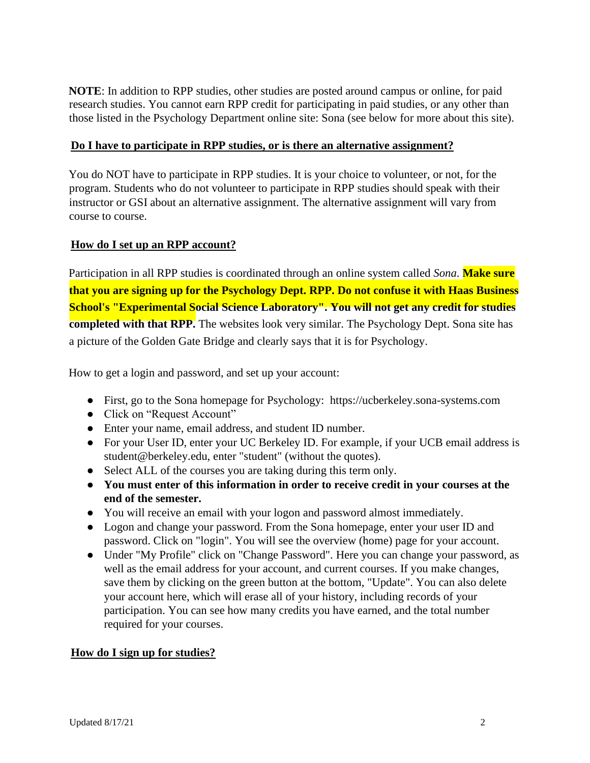**NOTE**: In addition to RPP studies, other studies are posted around campus or online, for paid research studies. You cannot earn RPP credit for participating in paid studies, or any other than those listed in the Psychology Department online site: Sona (see below for more about this site).

#### <span id="page-1-0"></span>**Do I have to participate in RPP studies, or is there an alternative assignment?**

You do NOT have to participate in RPP studies. It is your choice to volunteer, or not, for the program. Students who do not volunteer to participate in RPP studies should speak with their instructor or GSI about an alternative assignment. The alternative assignment will vary from course to course.

#### <span id="page-1-1"></span>**How do I set up an RPP account?**

Participation in all RPP studies is coordinated through an online system called *Sona*. **Make sure that you are signing up for the Psychology Dept. RPP. Do not confuse it with Haas Business School's "Experimental Social Science Laboratory". You will not get any credit for studies completed with that RPP.** The websites look very similar. The Psychology Dept. Sona site has a picture of the Golden Gate Bridge and clearly says that it is for Psychology.

How to get a login and password, and set up your account:

- First, go to the Sona homepage for Psychology: https://ucberkeley.sona-systems.com
- Click on "Request Account"
- Enter your name, email address, and student ID number.
- For your User ID, enter your UC Berkeley ID. For example, if your UCB email address is student@berkeley.edu, enter "student" (without the quotes).
- Select ALL of the courses you are taking during this term only.
- **You must enter of this information in order to receive credit in your courses at the end of the semester.**
- You will receive an email with your logon and password almost immediately.
- Logon and change your password. From the Sona homepage, enter your user ID and password. Click on "login". You will see the overview (home) page for your account.
- Under "My Profile" click on "Change Password". Here you can change your password, as well as the email address for your account, and current courses. If you make changes, save them by clicking on the green button at the bottom, "Update". You can also delete your account here, which will erase all of your history, including records of your participation. You can see how many credits you have earned, and the total number required for your courses.

### <span id="page-1-2"></span>**How do I sign up for studies?**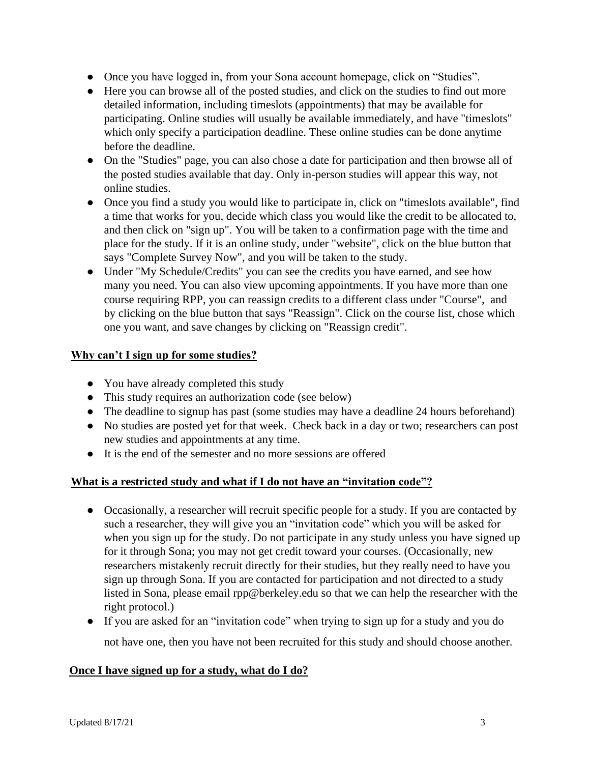- Once you have logged in, from your Sona account homepage, click on "Studies".
- Here you can browse all of the posted studies, and click on the studies to find out more detailed information, including timeslots (appointments) that may be available for participating. Online studies will usually be available immediately, and have "timeslots" which only specify a participation deadline. These online studies can be done anytime before the deadline.
- On the "Studies" page, you can also chose a date for participation and then browse all of the posted studies available that day. Only in-person studies will appear this way, not online studies.
- Once you find a study you would like to participate in, click on "timeslots available", find a time that works for you, decide which class you would like the credit to be allocated to, and then click on "sign up". You will be taken to a confirmation page with the time and place for the study. If it is an online study, under "website", click on the blue button that says "Complete Survey Now", and you will be taken to the study.
- Under "My Schedule/Credits" you can see the credits you have earned, and see how many you need. You can also view upcoming appointments. If you have more than one course requiring RPP, you can reassign credits to a different class under "Course", and by clicking on the blue button that says "Reassign". Click on the course list, chose which one you want, and save changes by clicking on "Reassign credit".

## <span id="page-2-0"></span>**Why can't I sign up for some studies?**

- You have already completed this study
- This study requires an authorization code (see below)
- The deadline to signup has past (some studies may have a deadline 24 hours beforehand)
- No studies are posted yet for that week. Check back in a day or two; researchers can post new studies and appointments at any time.
- It is the end of the semester and no more sessions are offered

### <span id="page-2-1"></span>**What is a restricted study and what if I do not have an "invitation code"?**

- Occasionally, a researcher will recruit specific people for a study. If you are contacted by such a researcher, they will give you an "invitation code" which you will be asked for when you sign up for the study. Do not participate in any study unless you have signed up for it through Sona; you may not get credit toward your courses. (Occasionally, new researchers mistakenly recruit directly for their studies, but they really need to have you sign up through Sona. If you are contacted for participation and not directed to a study listed in Sona, please email rpp@berkeley.edu so that we can help the researcher with the right protocol.)
- If you are asked for an "invitation code" when trying to sign up for a study and you do not have one, then you have not been recruited for this study and should choose another.

### <span id="page-2-2"></span>**Once I have signed up for a study, what do I do?**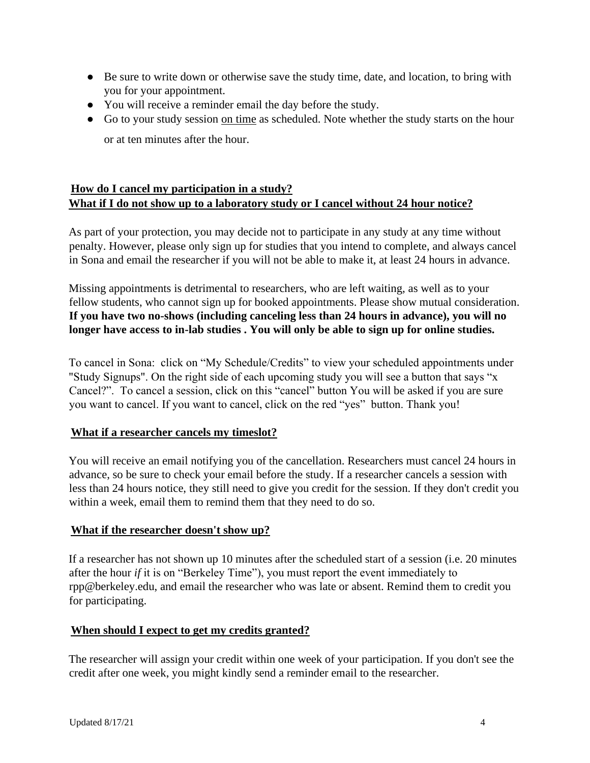- Be sure to write down or otherwise save the study time, date, and location, to bring with you for your appointment.
- You will receive a reminder email the day before the study.
- Go to your study session on time as scheduled. Note whether the study starts on the hour or at ten minutes after the hour.

# <span id="page-3-0"></span>**How do I cancel my participation in a study? What if I do not show up to a laboratory study or I cancel without 24 hour notice?**

As part of your protection, you may decide not to participate in any study at any time without penalty. However, please only sign up for studies that you intend to complete, and always cancel in Sona and email the researcher if you will not be able to make it, at least 24 hours in advance.

Missing appointments is detrimental to researchers, who are left waiting, as well as to your fellow students, who cannot sign up for booked appointments. Please show mutual consideration. **If you have two no-shows (including canceling less than 24 hours in advance), you will no longer have access to in-lab studies . You will only be able to sign up for online studies.** 

To cancel in Sona: click on "My Schedule/Credits" to view your scheduled appointments under "Study Signups". On the right side of each upcoming study you will see a button that says "x Cancel?". To cancel a session, click on this "cancel" button You will be asked if you are sure you want to cancel. If you want to cancel, click on the red "yes" button. Thank you!

### <span id="page-3-1"></span>**What if a researcher cancels my timeslot?**

You will receive an email notifying you of the cancellation. Researchers must cancel 24 hours in advance, so be sure to check your email before the study. If a researcher cancels a session with less than 24 hours notice, they still need to give you credit for the session. If they don't credit you within a week, email them to remind them that they need to do so.

### <span id="page-3-2"></span>**What if the researcher doesn't show up?**

If a researcher has not shown up 10 minutes after the scheduled start of a session (i.e. 20 minutes after the hour *if* it is on "Berkeley Time"), you must report the event immediately to rpp@berkeley.edu, and email the researcher who was late or absent. Remind them to credit you for participating.

### <span id="page-3-3"></span>**When should I expect to get my credits granted?**

The researcher will assign your credit within one week of your participation. If you don't see the credit after one week, you might kindly send a reminder email to the researcher.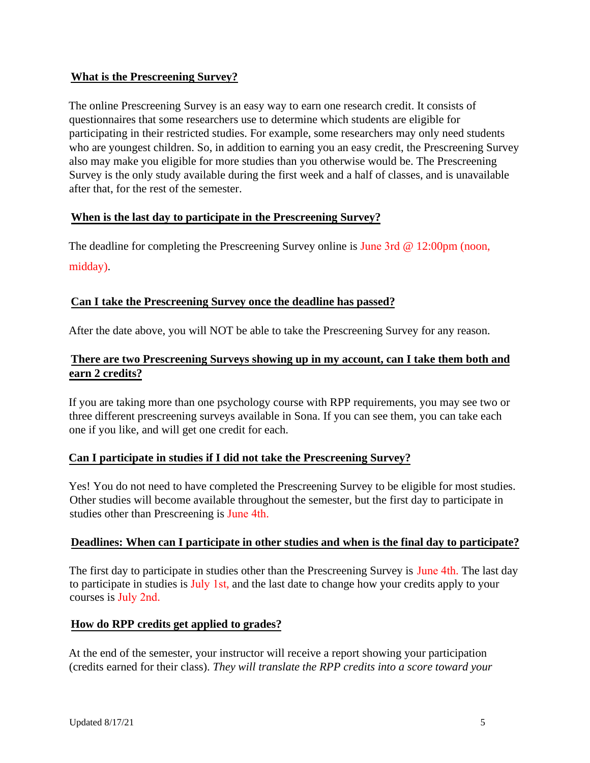#### <span id="page-4-0"></span>**What is the Prescreening Survey?**

The online Prescreening Survey is an easy way to earn one research credit. It consists of questionnaires that some researchers use to determine which students are eligible for participating in their restricted studies. For example, some researchers may only need students who are youngest children. So, in addition to earning you an easy credit, the Prescreening Survey also may make you eligible for more studies than you otherwise would be. The Prescreening Survey is the only study available during the first week and a half of classes, and is unavailable after that, for the rest of the semester.

### <span id="page-4-1"></span>**When is the last day to participate in the Prescreening Survey?**

The deadline for completing the Prescreening Survey online is June 3rd @ 12:00pm (noon, midday).

### <span id="page-4-2"></span>**Can I take the Prescreening Survey once the deadline has passed?**

After the date above, you will NOT be able to take the Prescreening Survey for any reason.

## <span id="page-4-3"></span>**There are two Prescreening Surveys showing up in my account, can I take them both and earn 2 credits?**

If you are taking more than one psychology course with RPP requirements, you may see two or three different prescreening surveys available in Sona. If you can see them, you can take each one if you like, and will get one credit for each.

### **Can I participate in studies if I did not take the Prescreening Survey?**

Yes! You do not need to have completed the Prescreening Survey to be eligible for most studies. Other studies will become available throughout the semester, but the first day to participate in studies other than Prescreening is June 4th.

### <span id="page-4-4"></span>**Deadlines: When can I participate in other studies and when is the final day to participate?**

The first day to participate in studies other than the Prescreening Survey is June 4th. The last day to participate in studies is July 1st, and the last date to change how your credits apply to your courses is July 2nd.

### <span id="page-4-5"></span>**How do RPP credits get applied to grades?**

At the end of the semester, your instructor will receive a report showing your participation (credits earned for their class). *They will translate the RPP credits into a score toward your*